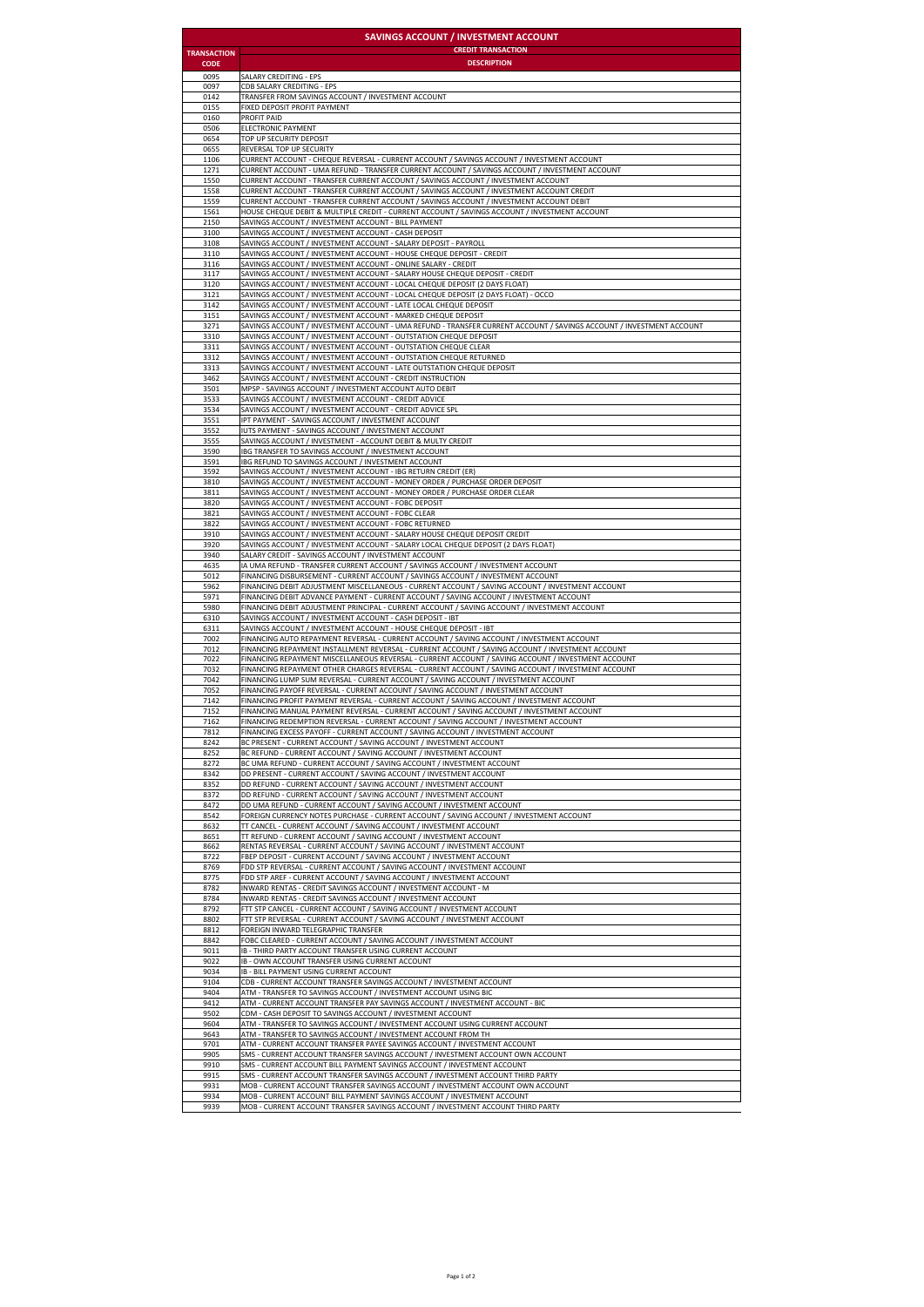| <b>SAVINGS ACCOUNT / INVESTMENT ACCOUNT</b> |                                                                                                                     |
|---------------------------------------------|---------------------------------------------------------------------------------------------------------------------|
| <b>TRANSACTION</b>                          | <b>CREDIT TRANSACTION</b>                                                                                           |
| <b>CODE</b>                                 | <b>DESCRIPTION</b>                                                                                                  |
| 0095                                        | SALARY CREDITING - EPS                                                                                              |
| 0097                                        | <b>CDB SALARY CREDITING - EPS</b>                                                                                   |
| 0142                                        | TRANSFER FROM SAVINGS ACCOUNT / INVESTMENT ACCOUNT                                                                  |
| 0155                                        | FIXED DEPOSIT PROFIT PAYMENT                                                                                        |
| 0160                                        | PROFIT PAID                                                                                                         |
| 0506                                        | ELECTRONIC PAYMENT                                                                                                  |
| 0654                                        | TOP UP SECURITY DEPOSIT                                                                                             |
| 0655                                        | REVERSAL TOP UP SECURITY                                                                                            |
| 1106                                        | CURRENT ACCOUNT - CHEQUE REVERSAL - CURRENT ACCOUNT / SAVINGS ACCOUNT / INVESTMENT ACCOUNT                          |
| 1271                                        | CURRENT ACCOUNT - UMA REFUND - TRANSFER CURRENT ACCOUNT / SAVINGS ACCOUNT / INVESTMENT ACCOUNT                      |
| 1550                                        | CURRENT ACCOUNT - TRANSFER CURRENT ACCOUNT / SAVINGS ACCOUNT / INVESTMENT ACCOUNT                                   |
| 1558                                        | CURRENT ACCOUNT - TRANSFER CURRENT ACCOUNT / SAVINGS ACCOUNT / INVESTMENT ACCOUNT CREDIT                            |
| 1559                                        | CURRENT ACCOUNT - TRANSFER CURRENT ACCOUNT / SAVINGS ACCOUNT / INVESTMENT ACCOUNT DEBIT                             |
| 1561                                        | HOUSE CHEQUE DEBIT & MULTIPLE CREDIT - CURRENT ACCOUNT / SAVINGS ACCOUNT / INVESTMENT ACCOUNT                       |
| 2150                                        | SAVINGS ACCOUNT / INVESTMENT ACCOUNT - BILL PAYMENT                                                                 |
| 3100                                        | SAVINGS ACCOUNT / INVESTMENT ACCOUNT - CASH DEPOSIT                                                                 |
| 3108                                        | SAVINGS ACCOUNT / INVESTMENT ACCOUNT - SALARY DEPOSIT - PAYROLL                                                     |
| 3110                                        | SAVINGS ACCOUNT / INVESTMENT ACCOUNT - HOUSE CHEQUE DEPOSIT - CREDIT                                                |
| 3116                                        | SAVINGS ACCOUNT / INVESTMENT ACCOUNT - ONLINE SALARY - CREDIT                                                       |
| 3117                                        | SAVINGS ACCOUNT / INVESTMENT ACCOUNT - SALARY HOUSE CHEQUE DEPOSIT - CREDIT                                         |
| 3120                                        | SAVINGS ACCOUNT / INVESTMENT ACCOUNT - LOCAL CHEQUE DEPOSIT (2 DAYS FLOAT)                                          |
| 3121                                        | SAVINGS ACCOUNT / INVESTMENT ACCOUNT - LOCAL CHEQUE DEPOSIT (2 DAYS FLOAT) - OCCO                                   |
| 3142                                        | SAVINGS ACCOUNT / INVESTMENT ACCOUNT - LATE LOCAL CHEQUE DEPOSIT                                                    |
| 3151                                        | SAVINGS ACCOUNT / INVESTMENT ACCOUNT - MARKED CHEQUE DEPOSIT                                                        |
| 3271                                        | SAVINGS ACCOUNT / INVESTMENT ACCOUNT - UMA REFUND - TRANSFER CURRENT ACCOUNT / SAVINGS ACCOUNT / INVESTMENT ACCOUNT |
| 3310                                        | SAVINGS ACCOUNT / INVESTMENT ACCOUNT - OUTSTATION CHEQUE DEPOSIT                                                    |
| 3311                                        | SAVINGS ACCOUNT / INVESTMENT ACCOUNT - OUTSTATION CHEQUE CLEAR                                                      |
| 3312                                        | SAVINGS ACCOUNT / INVESTMENT ACCOUNT - OUTSTATION CHEQUE RETURNED                                                   |
| 3313<br>3462                                | SAVINGS ACCOUNT / INVESTMENT ACCOUNT - LATE OUTSTATION CHEQUE DEPOSIT                                               |
| 3501                                        | SAVINGS ACCOUNT / INVESTMENT ACCOUNT - CREDIT INSTRUCTION<br>MPSP - SAVINGS ACCOUNT / INVESTMENT ACCOUNT AUTO DEBIT |
| 3533                                        | SAVINGS ACCOUNT / INVESTMENT ACCOUNT - CREDIT ADVICE                                                                |
| 3534                                        | SAVINGS ACCOUNT / INVESTMENT ACCOUNT - CREDIT ADVICE SPL                                                            |
| 3551                                        | IPT PAYMENT - SAVINGS ACCOUNT / INVESTMENT ACCOUNT                                                                  |
| 3552                                        | IUTS PAYMENT - SAVINGS ACCOUNT / INVESTMENT ACCOUNT                                                                 |
| 3555                                        | SAVINGS ACCOUNT / INVESTMENT - ACCOUNT DEBIT & MULTY CREDIT                                                         |
| 3590                                        | IBG TRANSFER TO SAVINGS ACCOUNT / INVESTMENT ACCOUNT                                                                |
| 3591                                        | IBG REFUND TO SAVINGS ACCOUNT / INVESTMENT ACCOUNT                                                                  |
| 3592                                        | SAVINGS ACCOUNT / INVESTMENT ACCOUNT - IBG RETURN CREDIT (ER)                                                       |
| 3810                                        | SAVINGS ACCOUNT / INVESTMENT ACCOUNT - MONEY ORDER / PURCHASE ORDER DEPOSIT                                         |
| 3811                                        | SAVINGS ACCOUNT / INVESTMENT ACCOUNT - MONEY ORDER / PURCHASE ORDER CLEAR                                           |
| 3820                                        | SAVINGS ACCOUNT / INVESTMENT ACCOUNT - FOBC DEPOSIT                                                                 |
| 3821                                        | SAVINGS ACCOUNT / INVESTMENT ACCOUNT - FOBC CLEAR                                                                   |
| 3822                                        | SAVINGS ACCOUNT / INVESTMENT ACCOUNT - FOBC RETURNED                                                                |
| 3910                                        | SAVINGS ACCOUNT / INVESTMENT ACCOUNT - SALARY HOUSE CHEQUE DEPOSIT CREDIT                                           |
| 3920                                        | SAVINGS ACCOUNT / INVESTMENT ACCOUNT - SALARY LOCAL CHEQUE DEPOSIT (2 DAYS FLOAT)                                   |
| 3940                                        | SALARY CREDIT - SAVINGS ACCOUNT / INVESTMENT ACCOUNT                                                                |
| 4635                                        | IA UMA REFUND - TRANSFER CURRENT ACCOUNT / SAVINGS ACCOUNT / INVESTMENT ACCOUNT                                     |
| 5012                                        | FINANCING DISBURSEMENT - CURRENT ACCOUNT / SAVINGS ACCOUNT / INVESTMENT ACCOUNT                                     |
| 5962                                        | FINANCING DEBIT ADJUSTMENT MISCELLANEOUS - CURRENT ACCOUNT / SAVING ACCOUNT / INVESTMENT ACCOUNT                    |
| 5971                                        | FINANCING DEBIT ADVANCE PAYMENT - CURRENT ACCOUNT / SAVING ACCOUNT / INVESTMENT ACCOUNT                             |
| 5980                                        | FINANCING DEBIT ADJUSTMENT PRINCIPAL - CURRENT ACCOUNT / SAVING ACCOUNT / INVESTMENT ACCOUNT                        |
| 6310                                        | SAVINGS ACCOUNT / INVESTMENT ACCOUNT - CASH DEPOSIT - IBT                                                           |
| 6311                                        | SAVINGS ACCOUNT / INVESTMENT ACCOUNT - HOUSE CHEQUE DEPOSIT - IBT                                                   |
| 7002                                        | FINANCING AUTO REPAYMENT REVERSAL - CURRENT ACCOUNT / SAVING ACCOUNT / INVESTMENT ACCOUNT                           |
| 7012                                        | FINANCING REPAYMENT INSTALLMENT REVERSAL - CURRENT ACCOUNT / SAVING ACCOUNT / INVESTMENT ACCOUNT                    |
| 7022                                        | FINANCING REPAYMENT MISCELLANEOUS REVERSAL - CURRENT ACCOUNT / SAVING ACCOUNT / INVESTMENT ACCOUNT                  |
| 7032                                        | FINANCING REPAYMENT OTHER CHARGES REVERSAL - CURRENT ACCOUNT / SAVING ACCOUNT / INVESTMENT ACCOUNT                  |
| 7042                                        | FINANCING LUMP SUM REVERSAL - CURRENT ACCOUNT / SAVING ACCOUNT / INVESTMENT ACCOUNT                                 |
| 7052                                        | FINANCING PAYOFF REVERSAL - CURRENT ACCOUNT / SAVING ACCOUNT / INVESTMENT ACCOUNT                                   |
| 7142                                        | FINANCING PROFIT PAYMENT REVERSAL - CURRENT ACCOUNT / SAVING ACCOUNT / INVESTMENT ACCOUNT                           |
| 7152                                        | FINANCING MANUAL PAYMENT REVERSAL - CURRENT ACCOUNT / SAVING ACCOUNT / INVESTMENT ACCOUNT                           |
| 7162                                        | FINANCING REDEMPTION REVERSAL - CURRENT ACCOUNT / SAVING ACCOUNT / INVESTMENT ACCOUNT                               |
| 7812                                        | FINANCING EXCESS PAYOFF - CURRENT ACCOUNT / SAVING ACCOUNT / INVESTMENT ACCOUNT                                     |
| 8242                                        | BC PRESENT - CURRENT ACCOUNT / SAVING ACCOUNT / INVESTMENT ACCOUNT                                                  |
| 8252                                        | BC REFUND - CURRENT ACCOUNT / SAVING ACCOUNT / INVESTMENT ACCOUNT                                                   |
| 8272                                        | BC UMA REFUND - CURRENT ACCOUNT / SAVING ACCOUNT / INVESTMENT ACCOUNT                                               |
| 8342                                        | DD PRESENT - CURRENT ACCOUNT / SAVING ACCOUNT / INVESTMENT ACCOUNT                                                  |
| 8352                                        | DD REFUND - CURRENT ACCOUNT / SAVING ACCOUNT / INVESTMENT ACCOUNT                                                   |
| 8372                                        | DD REFUND - CURRENT ACCOUNT / SAVING ACCOUNT / INVESTMENT ACCOUNT                                                   |
| 8472                                        | DD UMA REFUND - CURRENT ACCOUNT / SAVING ACCOUNT / INVESTMENT ACCOUNT                                               |
| 8542                                        | FOREIGN CURRENCY NOTES PURCHASE - CURRENT ACCOUNT / SAVING ACCOUNT / INVESTMENT ACCOUNT                             |
| 8632                                        | TT CANCEL - CURRENT ACCOUNT / SAVING ACCOUNT / INVESTMENT ACCOUNT                                                   |
| 8651                                        | TT REFUND - CURRENT ACCOUNT / SAVING ACCOUNT / INVESTMENT ACCOUNT                                                   |
| 8662                                        | RENTAS REVERSAL - CURRENT ACCOUNT / SAVING ACCOUNT / INVESTMENT ACCOUNT                                             |
| 8722                                        | FBEP DEPOSIT - CURRENT ACCOUNT / SAVING ACCOUNT / INVESTMENT ACCOUNT                                                |
| 8769                                        | FDD STP REVERSAL - CURRENT ACCOUNT / SAVING ACCOUNT / INVESTMENT ACCOUNT                                            |
| 8775                                        | FDD STP AREF - CURRENT ACCOUNT / SAVING ACCOUNT / INVESTMENT ACCOUNT                                                |
| 8782                                        | INWARD RENTAS - CREDIT SAVINGS ACCOUNT / INVESTMENT ACCOUNT - M                                                     |
| 8784                                        | INWARD RENTAS - CREDIT SAVINGS ACCOUNT / INVESTMENT ACCOUNT                                                         |
| 8792                                        | FTT STP CANCEL - CURRENT ACCOUNT / SAVING ACCOUNT / INVESTMENT ACCOUNT                                              |
| 8802                                        | FTT STP REVERSAL - CURRENT ACCOUNT / SAVING ACCOUNT / INVESTMENT ACCOUNT                                            |
| 8812                                        | FOREIGN INWARD TELEGRAPHIC TRANSFER                                                                                 |
| 8842                                        | FOBC CLEARED - CURRENT ACCOUNT / SAVING ACCOUNT / INVESTMENT ACCOUNT                                                |
| 9011                                        | IB - THIRD PARTY ACCOUNT TRANSFER USING CURRENT ACCOUNT                                                             |
| 9022                                        | IB - OWN ACCOUNT TRANSFER USING CURRENT ACCOUNT                                                                     |
| 9034                                        | IB - BILL PAYMENT USING CURRENT ACCOUNT                                                                             |
| 9104                                        | CDB - CURRENT ACCOUNT TRANSFER SAVINGS ACCOUNT / INVESTMENT ACCOUNT                                                 |
| 9404                                        | ATM - TRANSFER TO SAVINGS ACCOUNT / INVESTMENT ACCOUNT USING BIC                                                    |
| 9412                                        | ATM - CURRENT ACCOUNT TRANSFER PAY SAVINGS ACCOUNT / INVESTMENT ACCOUNT - BIC                                       |
| 9502                                        | CDM - CASH DEPOSIT TO SAVINGS ACCOUNT / INVESTMENT ACCOUNT                                                          |
| 9604                                        | ATM - TRANSFER TO SAVINGS ACCOUNT / INVESTMENT ACCOUNT USING CURRENT ACCOUNT                                        |
| 9643                                        | ATM - TRANSFER TO SAVINGS ACCOUNT / INVESTMENT ACCOUNT FROM TH                                                      |
| 9701                                        | ATM - CURRENT ACCOUNT TRANSFER PAYEE SAVINGS ACCOUNT / INVESTMENT ACCOUNT                                           |
| 9905                                        | SMS - CURRENT ACCOUNT TRANSFER SAVINGS ACCOUNT / INVESTMENT ACCOUNT OWN ACCOUNT                                     |
| 9910                                        | SMS - CURRENT ACCOUNT BILL PAYMENT SAVINGS ACCOUNT / INVESTMENT ACCOUNT                                             |
| 9915                                        | SMS - CURRENT ACCOUNT TRANSFER SAVINGS ACCOUNT / INVESTMENT ACCOUNT THIRD PARTY                                     |
| 9931                                        | MOB - CURRENT ACCOUNT TRANSFER SAVINGS ACCOUNT / INVESTMENT ACCOUNT OWN ACCOUNT                                     |
| 9934                                        | MOB - CURRENT ACCOUNT BILL PAYMENT SAVINGS ACCOUNT / INVESTMENT ACCOUNT                                             |
| 9939                                        | MOB - CURRENT ACCOUNT TRANSFER SAVINGS ACCOUNT / INVESTMENT ACCOUNT THIRD PARTY                                     |